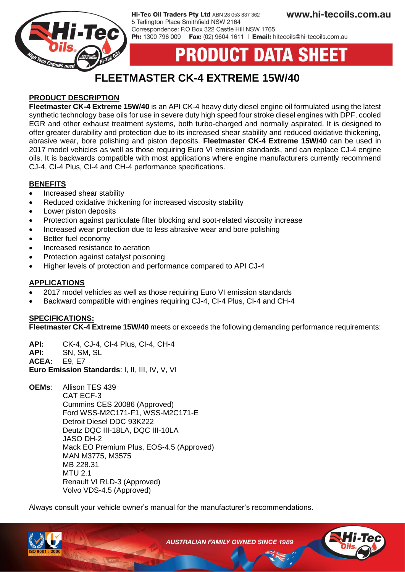

Hi-Tec Oil Traders Pty Ltd ABN 28 053 837 362 5 Tarlington Place Smithfield NSW 2164 Correspondence: P.O Box 322 Castle Hill NSW 1765 Ph: 1300 796 009 | Fax: (02) 9604 1611 | Email: hitecoils@hi-tecoils.com.au

# **UCT DATA SHEET**

# **FLEETMASTER CK-4 EXTREME 15W/40**

## **PRODUCT DESCRIPTION**

**Fleetmaster CK-4 Extreme 15W/40** is an API CK-4 heavy duty diesel engine oil formulated using the latest synthetic technology base oils for use in severe duty high speed four stroke diesel engines with DPF, cooled EGR and other exhaust treatment systems, both turbo-charged and normally aspirated. It is designed to offer greater durability and protection due to its increased shear stability and reduced oxidative thickening, abrasive wear, bore polishing and piston deposits. **Fleetmaster CK-4 Extreme 15W/40** can be used in 2017 model vehicles as well as those requiring Euro VI emission standards, and can replace CJ-4 engine oils. It is backwards compatible with most applications where engine manufacturers currently recommend CJ-4, CI-4 Plus, CI-4 and CH-4 performance specifications.

#### **BENEFITS**

- Increased shear stability
- Reduced oxidative thickening for increased viscosity stability
- Lower piston deposits
- Protection against particulate filter blocking and soot-related viscosity increase
- Increased wear protection due to less abrasive wear and bore polishing
- Better fuel economy
- Increased resistance to aeration
- Protection against catalyst poisoning
- Higher levels of protection and performance compared to API CJ-4

### **APPLICATIONS**

- 2017 model vehicles as well as those requiring Euro VI emission standards
- Backward compatible with engines requiring CJ-4, CI-4 Plus, CI-4 and CH-4

#### **SPECIFICATIONS:**

**Fleetmaster CK-4 Extreme 15W/40** meets or exceeds the following demanding performance requirements:

**API:** CK-4, CJ-4, CI-4 Plus, CI-4, CH-4 **API:** SN, SM, SL **ACEA:** E9, E7

**Euro Emission Standards**: I, II, III, IV, V, VI

**OEMs**: Allison TES 439 CAT ECF-3 Cummins CES 20086 (Approved) Ford WSS-M2C171-F1, WSS-M2C171-E Detroit Diesel DDC 93K222 Deutz DQC III-18LA, DQC III-10LA JASO DH-2 Mack EO Premium Plus, EOS-4.5 (Approved) MAN M3775, M3575 MB 228.31  $MTU$  2.1 Renault VI RLD-3 (Approved) Volvo VDS-4.5 (Approved)

Always consult your vehicle owner's manual for the manufacturer's recommendations.